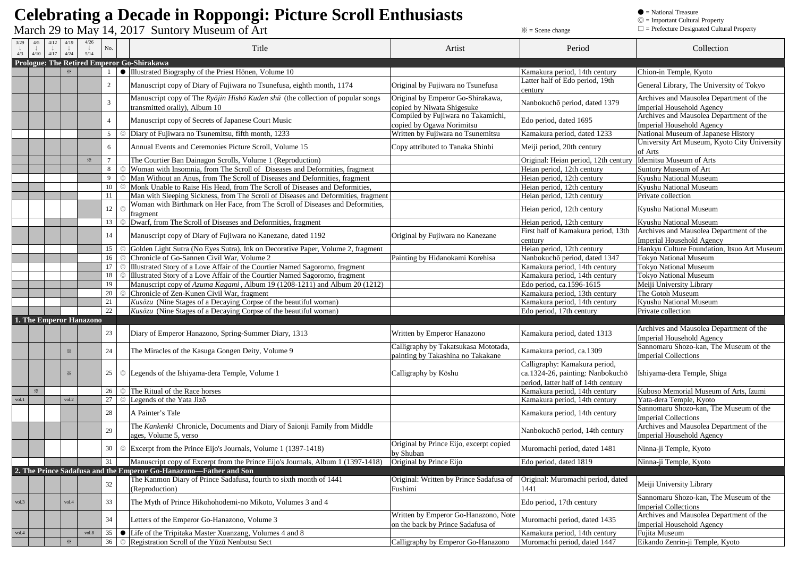## **Celebrating a Decade in Roppongi: Picture Scroll Enthusiasts**

 $\rm{March}$   $\rm{29}$  to  $\rm{May}$   $\rm{14,2017}$   $\rm{Suntory}$   $\rm{Museum}$  of  $\rm{Art}$   $\rm{Mut}$ 

 $\bullet = National Treasury \$ <br> $\odot = Important Cultural Property \$ <br> $\Box = {{\rm Prefecture\ Designated\ Cultu}}$ 

| $\Box$ = Prefecture Designated Cultural Property |  |  |  |
|--------------------------------------------------|--|--|--|
|--------------------------------------------------|--|--|--|

| 4/12<br>3/29<br>4/5<br>$\downarrow$<br>4/3<br>4/10<br>4/17 | 4/19<br>$\downarrow$<br>4/24 | 4/26<br>5/14 | No.            |   | Title                                                                                                         | Artist                                                                    | Period                                                                                                   | Collection                                                            |
|------------------------------------------------------------|------------------------------|--------------|----------------|---|---------------------------------------------------------------------------------------------------------------|---------------------------------------------------------------------------|----------------------------------------------------------------------------------------------------------|-----------------------------------------------------------------------|
| Prologue: The Retired Emperor Go-Shirakawa                 |                              |              |                |   |                                                                                                               |                                                                           |                                                                                                          |                                                                       |
|                                                            | $\mathbb{X}$                 |              |                |   | • Illustrated Biography of the Priest Hōnen, Volume 10                                                        |                                                                           | Kamakura period, 14th century                                                                            | Chion-in Temple, Kyoto                                                |
|                                                            |                              |              | 2              |   | Manuscript copy of Diary of Fujiwara no Tsunefusa, eighth month, 1174                                         | Original by Fujiwara no Tsunefusa                                         | Latter half of Edo period, 19th<br>century                                                               | General Library, The University of Tokyo                              |
|                                                            |                              |              |                |   | Manuscript copy of The Ryōjin Hishō Kuden shū (the collection of popular songs                                | Original by Emperor Go-Shirakawa,                                         |                                                                                                          | Archives and Mausolea Department of the                               |
|                                                            |                              |              | 3              |   | transmitted orally), Album 10                                                                                 | copied by Niwata Shigesuke                                                | Nanbokuchō period, dated 1379                                                                            | <b>Imperial Household Agency</b>                                      |
|                                                            |                              |              | $\overline{4}$ |   | Manuscript copy of Secrets of Japanese Court Music                                                            | Compiled by Fujiwara no Takamichi,<br>copied by Ogawa Norimitsu           | Edo period, dated 1695                                                                                   | Archives and Mausolea Department of the<br>Imperial Household Agency  |
|                                                            |                              |              | 5              |   | Diary of Fujiwara no Tsunemitsu, fifth month, 1233                                                            | Written by Fujiwara no Tsunemitsu                                         | Kamakura period, dated 1233                                                                              | National Museum of Japanese History                                   |
|                                                            |                              |              | 6              |   | Annual Events and Ceremonies Picture Scroll, Volume 15                                                        | Copy attributed to Tanaka Shinbi                                          | Meiji period, 20th century                                                                               | University Art Museum, Kyoto City University<br>of Arts               |
|                                                            |                              | $\times$     | $\overline{7}$ |   | The Courtier Ban Dainagon Scrolls, Volume 1 (Reproduction)                                                    |                                                                           | Original: Heian period, 12th century                                                                     | <b>Idemitsu Museum of Arts</b>                                        |
|                                                            |                              |              | 8              |   | Woman with Insomnia, from The Scroll of Diseases and Deformities, fragment                                    |                                                                           | Heian period, 12th century                                                                               | Suntory Museum of Art                                                 |
|                                                            |                              |              | 9              |   | Man Without an Anus, from The Scroll of Diseases and Deformities, fragment                                    |                                                                           | Heian period, 12th century                                                                               | Kyushu National Museum                                                |
|                                                            |                              |              | 10             |   | Monk Unable to Raise His Head, from The Scroll of Diseases and Deformities,                                   |                                                                           | Heian period, 12th century                                                                               | Kyushu National Museum                                                |
|                                                            |                              |              | 11             |   | Man with Sleeping Sickness, from The Scroll of Diseases and Deformities, fragment                             |                                                                           | Heian period, 12th century                                                                               | Private collection                                                    |
|                                                            |                              |              | 12             |   | Woman with Birthmark on Her Face, from The Scroll of Diseases and Deformities,<br>fragment                    |                                                                           | Heian period, 12th century                                                                               | Kyushu National Museum                                                |
|                                                            |                              |              | 13             |   | Dwarf, from The Scroll of Diseases and Deformities, fragment                                                  |                                                                           | Heian period, 12th century                                                                               | Kyushu National Museum                                                |
|                                                            |                              |              |                |   |                                                                                                               |                                                                           | First half of Kamakura period, 13th                                                                      | Archives and Mausolea Department of the                               |
|                                                            |                              |              | 14             |   | Manuscript copy of Diary of Fujiwara no Kanezane, dated 1192                                                  | Original by Fujiwara no Kanezane                                          | century                                                                                                  | <b>Imperial Household Agency</b>                                      |
|                                                            |                              |              | 15             |   | Golden Light Sutra (No Eyes Sutra), Ink on Decorative Paper, Volume 2, fragment                               |                                                                           | Heian period, 12th century                                                                               | Hankyu Culture Foundation, Itsuo Art Museum                           |
|                                                            |                              |              | 16             |   | Chronicle of Go-Sannen Civil War, Volume 2                                                                    | Painting by Hidanokami Korehisa                                           | Nanbokuchō period, dated 1347                                                                            | <b>Tokyo National Museum</b>                                          |
|                                                            |                              |              | 17             |   | Illustrated Story of a Love Affair of the Courtier Named Sagoromo, fragment                                   |                                                                           | Kamakura period, 14th century                                                                            | Tokyo National Museum                                                 |
|                                                            |                              |              | 18             |   | Illustrated Story of a Love Affair of the Courtier Named Sagoromo, fragment                                   |                                                                           | Kamakura period, 14th century                                                                            | <b>Tokyo National Museum</b>                                          |
|                                                            |                              |              | 19             |   | Manuscript copy of Azuma Kagami, Album 19 (1208-1211) and Album 20 (1212)                                     |                                                                           | Edo period, ca.1596-1615                                                                                 | Meiji University Library                                              |
|                                                            |                              |              | 20             |   | Chronicle of Zen-Kunen Civil War, fragment                                                                    |                                                                           | Kamakura period, 13th century                                                                            | The Gotoh Museum                                                      |
|                                                            |                              |              | 21             |   | Kusōzu (Nine Stages of a Decaying Corpse of the beautiful woman)                                              |                                                                           | Kamakura period, 14th century                                                                            | Kyushu National Museum                                                |
|                                                            |                              |              | 22             |   | $Kus\bar{o}zu$ (Nine Stages of a Decaying Corpse of the beautiful woman)                                      |                                                                           | Edo period, 17th century                                                                                 | Private collection                                                    |
| 1. The Emperor Hanazono                                    |                              |              |                |   |                                                                                                               |                                                                           |                                                                                                          |                                                                       |
|                                                            |                              |              | 23             |   | Diary of Emperor Hanazono, Spring-Summer Diary, 1313                                                          | Written by Emperor Hanazono                                               | Kamakura period, dated 1313                                                                              | Archives and Mausolea Department of the<br>Imperial Household Agency  |
|                                                            | $\times$                     |              | 24             |   | The Miracles of the Kasuga Gongen Deity, Volume 9                                                             | Calligraphy by Takatsukasa Mototada,<br>painting by Takashina no Takakane | Kamakura period, ca.1309                                                                                 | Sannomaru Shozo-kan, The Museum of the<br><b>Imperial Collections</b> |
|                                                            | $\times$                     |              |                |   | 25   ©  Legends of the Ishiyama-dera Temple, Volume 1                                                         | Calligraphy by Kōshu                                                      | Calligraphy: Kamakura period,<br>ca.1324-26, painting: Nanbokuchō<br>period, latter half of 14th century | Ishiyama-dera Temple, Shiga                                           |
| $\times$                                                   |                              |              | 26             |   | The Ritual of the Race horses                                                                                 |                                                                           | Kamakura period, 14th century                                                                            | Kuboso Memorial Museum of Arts, Izumi                                 |
| vol.1                                                      | vol.2                        |              | 27             |   | Legends of the Yata Jizō                                                                                      |                                                                           | Kamakura period, 14th century                                                                            | Yata-dera Temple, Kyoto                                               |
|                                                            |                              |              | 28             |   | A Painter's Tale                                                                                              |                                                                           | Kamakura period, 14th century                                                                            | Sannomaru Shozo-kan, The Museum of the<br><b>Imperial Collections</b> |
|                                                            |                              |              | 29             |   | The Kankenki Chronicle, Documents and Diary of Saionji Family from Middle<br>ages, Volume 5, verso            |                                                                           | Nanbokuchō period, 14th century                                                                          | Archives and Mausolea Department of the<br>Imperial Household Agency  |
|                                                            |                              |              | 30             | ⊚ | Excerpt from the Prince Eijo's Journals, Volume 1 (1397-1418)                                                 | Original by Prince Eijo, excerpt copied<br>by Shuban                      | Muromachi period, dated 1481                                                                             | Ninna-ji Temple, Kyoto                                                |
|                                                            |                              |              |                |   | [31] Manuscript copy of Excerpt from the Prince Eijo's Journals, Album 1 (1397-1418) [Original by Prince Eijo |                                                                           | Edo period, dated 1819                                                                                   | Ninna-ji Temple, Kyoto                                                |
|                                                            |                              |              |                |   | 2. The Prince Sadafusa and the Emperor Go-Hanazono-Father and Son                                             |                                                                           |                                                                                                          |                                                                       |
|                                                            |                              |              | 32             |   | The Kanmon Diary of Prince Sadafusa, fourth to sixth month of 1441<br>(Reproduction)                          | Original: Written by Prince Sadafusa of<br>Fushimi                        | Original: Muromachi period, dated<br>1441                                                                | Meiji University Library                                              |
| vol.3                                                      | vol.4                        |              | 33             |   | The Myth of Prince Hikohohodemi-no Mikoto, Volumes 3 and 4                                                    |                                                                           | Edo period, 17th century                                                                                 | Sannomaru Shozo-kan, The Museum of the<br><b>Imperial Collections</b> |
|                                                            |                              |              | 34             |   | Letters of the Emperor Go-Hanazono, Volume 3                                                                  | Written by Emperor Go-Hanazono, Note<br>on the back by Prince Sadafusa of | Muromachi period, dated 1435                                                                             | Archives and Mausolea Department of the<br>Imperial Household Agency  |
| vol.4                                                      |                              | vol.8        | 35             |   | $\bullet$ Life of the Tripitaka Master Xuanzang, Volumes 4 and 8                                              |                                                                           | Kamakura period, 14th century                                                                            | Fujita Museum                                                         |
|                                                            | $\times$                     |              | 36             |   | Registration Scroll of the Yūzū Nenbutsu Sect                                                                 | Calligraphy by Emperor Go-Hanazono                                        | Muromachi period, dated 1447                                                                             | Eikando Zenrin-ji Temple, Kyoto                                       |
|                                                            |                              |              |                |   |                                                                                                               |                                                                           |                                                                                                          |                                                                       |